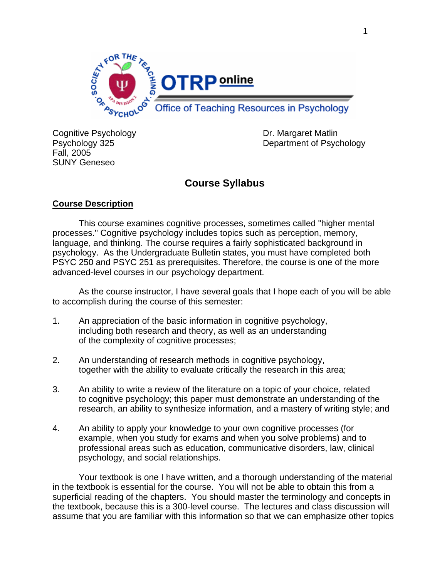

Cognitive Psychology **Dr. Margaret Matlin** Fall, 2005 SUNY Geneseo

Psychology 325 Department of Psychology

# **Course Syllabus**

## **Course Description**

 This course examines cognitive processes, sometimes called "higher mental processes." Cognitive psychology includes topics such as perception, memory, language, and thinking. The course requires a fairly sophisticated background in psychology. As the Undergraduate Bulletin states, you must have completed both PSYC 250 and PSYC 251 as prerequisites. Therefore, the course is one of the more advanced-level courses in our psychology department.

 As the course instructor, I have several goals that I hope each of you will be able to accomplish during the course of this semester:

- 1. An appreciation of the basic information in cognitive psychology, including both research and theory, as well as an understanding of the complexity of cognitive processes;
- 2. An understanding of research methods in cognitive psychology, together with the ability to evaluate critically the research in this area;
- 3. An ability to write a review of the literature on a topic of your choice, related to cognitive psychology; this paper must demonstrate an understanding of the research, an ability to synthesize information, and a mastery of writing style; and
- 4. An ability to apply your knowledge to your own cognitive processes (for example, when you study for exams and when you solve problems) and to professional areas such as education, communicative disorders, law, clinical psychology, and social relationships.

 Your textbook is one I have written, and a thorough understanding of the material in the textbook is essential for the course. You will not be able to obtain this from a superficial reading of the chapters. You should master the terminology and concepts in the textbook, because this is a 300-level course. The lectures and class discussion will assume that you are familiar with this information so that we can emphasize other topics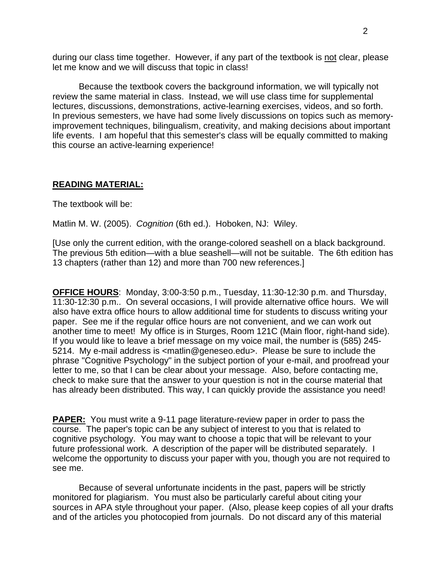during our class time together. However, if any part of the textbook is not clear, please let me know and we will discuss that topic in class!

 Because the textbook covers the background information, we will typically not review the same material in class. Instead, we will use class time for supplemental lectures, discussions, demonstrations, active-learning exercises, videos, and so forth. In previous semesters, we have had some lively discussions on topics such as memoryimprovement techniques, bilingualism, creativity, and making decisions about important life events. I am hopeful that this semester's class will be equally committed to making this course an active-learning experience!

### **READING MATERIAL:**

The textbook will be:

Matlin M. W. (2005). *Cognition* (6th ed.). Hoboken, NJ: Wiley.

[Use only the current edition, with the orange-colored seashell on a black background. The previous 5th edition—with a blue seashell—will not be suitable. The 6th edition has 13 chapters (rather than 12) and more than 700 new references.]

**OFFICE HOURS**: Monday, 3:00-3:50 p.m., Tuesday, 11:30-12:30 p.m. and Thursday, 11:30-12:30 p.m.. On several occasions, I will provide alternative office hours. We will also have extra office hours to allow additional time for students to discuss writing your paper. See me if the regular office hours are not convenient, and we can work out another time to meet! My office is in Sturges, Room 121C (Main floor, right-hand side). If you would like to leave a brief message on my voice mail, the number is (585) 245- 5214. My e-mail address is <matlin@geneseo.edu>. Please be sure to include the phrase "Cognitive Psychology" in the subject portion of your e-mail, and proofread your letter to me, so that I can be clear about your message. Also, before contacting me, check to make sure that the answer to your question is not in the course material that has already been distributed. This way, I can quickly provide the assistance you need!

**PAPER:** You must write a 9-11 page literature-review paper in order to pass the course. The paper's topic can be any subject of interest to you that is related to cognitive psychology. You may want to choose a topic that will be relevant to your future professional work. A description of the paper will be distributed separately. I welcome the opportunity to discuss your paper with you, though you are not required to see me.

 Because of several unfortunate incidents in the past, papers will be strictly monitored for plagiarism. You must also be particularly careful about citing your sources in APA style throughout your paper. (Also, please keep copies of all your drafts and of the articles you photocopied from journals. Do not discard any of this material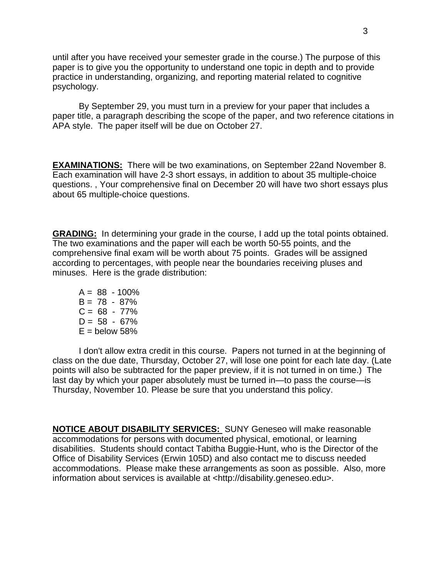until after you have received your semester grade in the course.) The purpose of this paper is to give you the opportunity to understand one topic in depth and to provide practice in understanding, organizing, and reporting material related to cognitive psychology.

 By September 29, you must turn in a preview for your paper that includes a paper title, a paragraph describing the scope of the paper, and two reference citations in APA style. The paper itself will be due on October 27.

**EXAMINATIONS:** There will be two examinations, on September 22and November 8. Each examination will have 2-3 short essays, in addition to about 35 multiple-choice questions. , Your comprehensive final on December 20 will have two short essays plus about 65 multiple-choice questions.

**GRADING:** In determining your grade in the course, I add up the total points obtained. The two examinations and the paper will each be worth 50-55 points, and the comprehensive final exam will be worth about 75 points. Grades will be assigned according to percentages, with people near the boundaries receiving pluses and minuses. Here is the grade distribution:

 $A = 88 - 100\%$  $B = 78 - 87\%$  $C = 68 - 77\%$  $D = 58 - 67\%$  $E =$  below 58%

 I don't allow extra credit in this course. Papers not turned in at the beginning of class on the due date, Thursday, October 27, will lose one point for each late day. (Late points will also be subtracted for the paper preview, if it is not turned in on time.) The last day by which your paper absolutely must be turned in—to pass the course—is Thursday, November 10. Please be sure that you understand this policy.

**NOTICE ABOUT DISABILITY SERVICES:** SUNY Geneseo will make reasonable accommodations for persons with documented physical, emotional, or learning disabilities. Students should contact Tabitha Buggie-Hunt, who is the Director of the Office of Disability Services (Erwin 105D) and also contact me to discuss needed accommodations. Please make these arrangements as soon as possible. Also, more information about services is available at <http://disability.geneseo.edu>.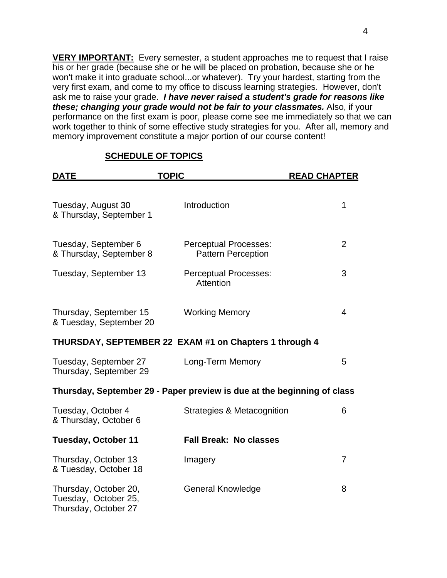**VERY IMPORTANT:** Every semester, a student approaches me to request that I raise his or her grade (because she or he will be placed on probation, because she or he won't make it into graduate school...or whatever). Try your hardest, starting from the very first exam, and come to my office to discuss learning strategies. However, don't ask me to raise your grade. *I have never raised a student's grade for reasons like these; changing your grade would not be fair to your classmates.* Also, if your performance on the first exam is poor, please come see me immediately so that we can work together to think of some effective study strategies for you. After all, memory and memory improvement constitute a major portion of our course content!

| <b>DATE</b>                                                           | <b>TOPIC</b>                                                            | <b>READ CHAPTER</b> |
|-----------------------------------------------------------------------|-------------------------------------------------------------------------|---------------------|
| Tuesday, August 30<br>& Thursday, September 1                         | Introduction                                                            | 1                   |
| Tuesday, September 6<br>& Thursday, September 8                       | <b>Perceptual Processes:</b><br><b>Pattern Perception</b>               | $\overline{2}$      |
| Tuesday, September 13                                                 | <b>Perceptual Processes:</b><br>Attention                               | 3                   |
| Thursday, September 15<br>& Tuesday, September 20                     | <b>Working Memory</b>                                                   | 4                   |
|                                                                       | THURSDAY, SEPTEMBER 22 EXAM #1 on Chapters 1 through 4                  |                     |
| Tuesday, September 27<br>Thursday, September 29                       | Long-Term Memory                                                        | 5                   |
|                                                                       | Thursday, September 29 - Paper preview is due at the beginning of class |                     |
| Tuesday, October 4<br>& Thursday, October 6                           | <b>Strategies &amp; Metacognition</b>                                   | 6                   |
| <b>Tuesday, October 11</b>                                            | <b>Fall Break: No classes</b>                                           |                     |
| Thursday, October 13<br>& Tuesday, October 18                         | Imagery                                                                 | $\overline{7}$      |
| Thursday, October 20,<br>Tuesday, October 25,<br>Thursday, October 27 | <b>General Knowledge</b>                                                | 8                   |

#### **SCHEDULE OF TOPICS**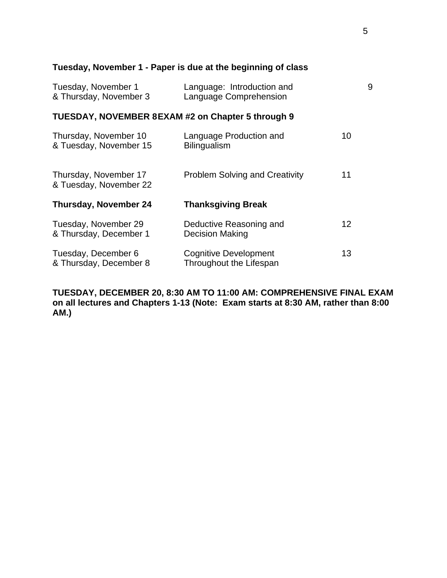## **Tuesday, November 1 - Paper is due at the beginning of class**

| Tuesday, November 1    | Language: Introduction and |  |
|------------------------|----------------------------|--|
| & Thursday, November 3 | Language Comprehension     |  |

## **TUESDAY, NOVEMBER 8 EXAM #2 on Chapter 5 through 9**

| Thursday, November 10<br>& Tuesday, November 15 | Language Production and<br><b>Bilingualism</b>    | 10 |
|-------------------------------------------------|---------------------------------------------------|----|
| Thursday, November 17<br>& Tuesday, November 22 | <b>Problem Solving and Creativity</b>             | 11 |
| <b>Thursday, November 24</b>                    | <b>Thanksgiving Break</b>                         |    |
|                                                 |                                                   |    |
| Tuesday, November 29<br>& Thursday, December 1  | Deductive Reasoning and<br><b>Decision Making</b> | 12 |

**TUESDAY, DECEMBER 20, 8:30 AM TO 11:00 AM: COMPREHENSIVE FINAL EXAM on all lectures and Chapters 1-13 (Note: Exam starts at 8:30 AM, rather than 8:00 AM.)**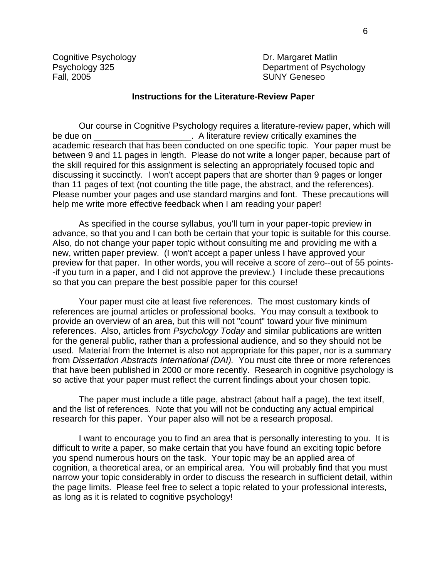Cognitive Psychology **Dr. Margaret Matlin** Fall, 2005 **SUNY Geneseo** 

Psychology 325 Department of Psychology

#### **Instructions for the Literature-Review Paper**

 Our course in Cognitive Psychology requires a literature-review paper, which will be due on \_\_\_\_\_\_\_\_\_\_\_\_\_\_\_\_\_\_\_\_\_\_. A literature review critically examines the academic research that has been conducted on one specific topic. Your paper must be between 9 and 11 pages in length. Please do not write a longer paper, because part of the skill required for this assignment is selecting an appropriately focused topic and discussing it succinctly. I won't accept papers that are shorter than 9 pages or longer than 11 pages of text (not counting the title page, the abstract, and the references). Please number your pages and use standard margins and font. These precautions will help me write more effective feedback when I am reading your paper!

 As specified in the course syllabus, you'll turn in your paper-topic preview in advance, so that you and I can both be certain that your topic is suitable for this course. Also, do not change your paper topic without consulting me and providing me with a new, written paper preview. (I won't accept a paper unless I have approved your preview for that paper. In other words, you will receive a score of zero--out of 55 points- -if you turn in a paper, and I did not approve the preview.) I include these precautions so that you can prepare the best possible paper for this course!

 Your paper must cite at least five references. The most customary kinds of references are journal articles or professional books. You may consult a textbook to provide an overview of an area, but this will not "count" toward your five minimum references. Also, articles from *Psychology Today* and similar publications are written for the general public, rather than a professional audience, and so they should not be used. Material from the Internet is also not appropriate for this paper, nor is a summary from *Dissertation Abstracts International (DAI).* You must cite three or more references that have been published in 2000 or more recently. Research in cognitive psychology is so active that your paper must reflect the current findings about your chosen topic.

 The paper must include a title page, abstract (about half a page), the text itself, and the list of references. Note that you will not be conducting any actual empirical research for this paper. Your paper also will not be a research proposal.

 I want to encourage you to find an area that is personally interesting to you. It is difficult to write a paper, so make certain that you have found an exciting topic before you spend numerous hours on the task. Your topic may be an applied area of cognition, a theoretical area, or an empirical area. You will probably find that you must narrow your topic considerably in order to discuss the research in sufficient detail, within the page limits. Please feel free to select a topic related to your professional interests, as long as it is related to cognitive psychology!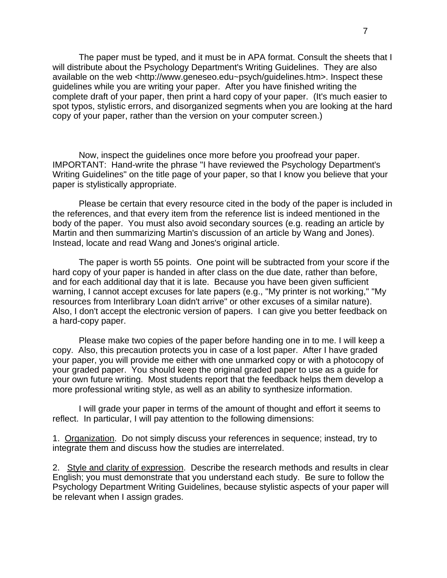The paper must be typed, and it must be in APA format. Consult the sheets that I will distribute about the Psychology Department's Writing Guidelines. They are also available on the web <http://www.geneseo.edu~psych/guidelines.htm>. Inspect these guidelines while you are writing your paper. After you have finished writing the complete draft of your paper, then print a hard copy of your paper. (It's much easier to spot typos, stylistic errors, and disorganized segments when you are looking at the hard copy of your paper, rather than the version on your computer screen.)

 Now, inspect the guidelines once more before you proofread your paper. IMPORTANT: Hand-write the phrase "I have reviewed the Psychology Department's Writing Guidelines" on the title page of your paper, so that I know you believe that your paper is stylistically appropriate.

 Please be certain that every resource cited in the body of the paper is included in the references, and that every item from the reference list is indeed mentioned in the body of the paper. You must also avoid secondary sources (e.g. reading an article by Martin and then summarizing Martin's discussion of an article by Wang and Jones). Instead, locate and read Wang and Jones's original article.

 The paper is worth 55 points. One point will be subtracted from your score if the hard copy of your paper is handed in after class on the due date, rather than before, and for each additional day that it is late. Because you have been given sufficient warning, I cannot accept excuses for late papers (e.g., "My printer is not working," "My resources from Interlibrary Loan didn't arrive" or other excuses of a similar nature). Also, I don't accept the electronic version of papers. I can give you better feedback on a hard-copy paper.

 Please make two copies of the paper before handing one in to me. I will keep a copy. Also, this precaution protects you in case of a lost paper. After I have graded your paper, you will provide me either with one unmarked copy or with a photocopy of your graded paper. You should keep the original graded paper to use as a guide for your own future writing. Most students report that the feedback helps them develop a more professional writing style, as well as an ability to synthesize information.

 I will grade your paper in terms of the amount of thought and effort it seems to reflect. In particular, I will pay attention to the following dimensions:

1. Organization. Do not simply discuss your references in sequence; instead, try to integrate them and discuss how the studies are interrelated.

2. Style and clarity of expression. Describe the research methods and results in clear English; you must demonstrate that you understand each study. Be sure to follow the Psychology Department Writing Guidelines, because stylistic aspects of your paper will be relevant when I assign grades.